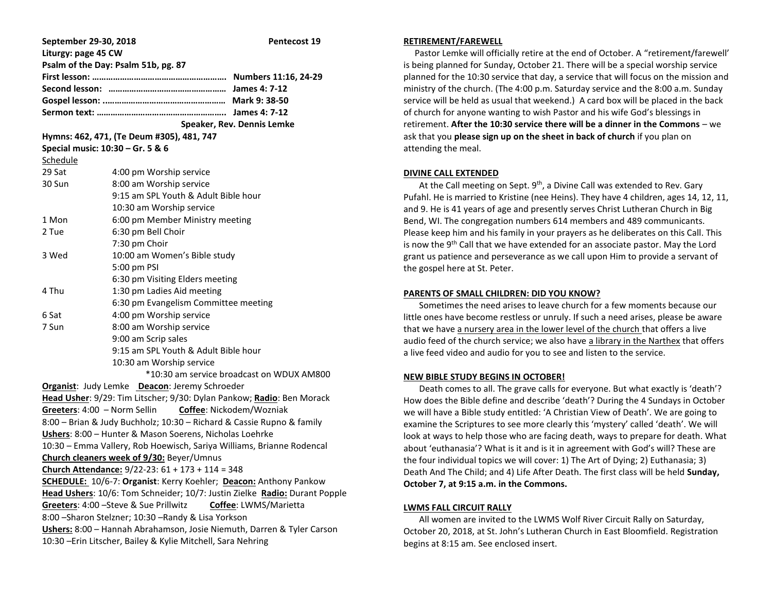| September 29-30, 2018<br>Liturgy: page 45 CW                               |                                      | Pentecost 19               |
|----------------------------------------------------------------------------|--------------------------------------|----------------------------|
| Psalm of the Day: Psalm 51b, pg. 87                                        |                                      |                            |
|                                                                            |                                      |                            |
|                                                                            |                                      |                            |
|                                                                            |                                      |                            |
|                                                                            |                                      |                            |
|                                                                            |                                      | Speaker, Rev. Dennis Lemke |
| Hymns: 462, 471, (Te Deum #305), 481, 747                                  |                                      |                            |
| Special music: 10:30 - Gr. 5 & 6                                           |                                      |                            |
| Schedule                                                                   |                                      |                            |
| 29 Sat                                                                     | 4:00 pm Worship service              |                            |
| 30 Sun                                                                     | 8:00 am Worship service              |                            |
|                                                                            | 9:15 am SPL Youth & Adult Bible hour |                            |
|                                                                            | 10:30 am Worship service             |                            |
| 1 Mon                                                                      | 6:00 pm Member Ministry meeting      |                            |
| 2 Tue                                                                      | 6:30 pm Bell Choir                   |                            |
|                                                                            | 7:30 pm Choir                        |                            |
| 3 Wed                                                                      | 10:00 am Women's Bible study         |                            |
|                                                                            | 5:00 pm PSI                          |                            |
|                                                                            | 6:30 pm Visiting Elders meeting      |                            |
| 4 Thu                                                                      | 1:30 pm Ladies Aid meeting           |                            |
|                                                                            | 6:30 pm Evangelism Committee meeting |                            |
| 6 Sat                                                                      | 4:00 pm Worship service              |                            |
| 7 Sun                                                                      | 8:00 am Worship service              |                            |
|                                                                            | 9:00 am Scrip sales                  |                            |
|                                                                            | 9:15 am SPL Youth & Adult Bible hour |                            |
| 10:30 am Worship service                                                   |                                      |                            |
| *10:30 am service broadcast on WDUX AM800                                  |                                      |                            |
| Organist: Judy Lemke Deacon: Jeremy Schroeder                              |                                      |                            |
| Head Usher: 9/29: Tim Litscher; 9/30: Dylan Pankow; Radio: Ben Morack      |                                      |                            |
| Greeters: 4:00 - Norm Sellin<br>Coffee: Nickodem/Wozniak                   |                                      |                            |
| 8:00 - Brian & Judy Buchholz; 10:30 - Richard & Cassie Rupno & family      |                                      |                            |
| Ushers: 8:00 - Hunter & Mason Soerens, Nicholas Loehrke                    |                                      |                            |
| 10:30 - Emma Vallery, Rob Hoewisch, Sariya Williams, Brianne Rodencal      |                                      |                            |
| Church cleaners week of 9/30: Beyer/Umnus                                  |                                      |                            |
| Church Attendance: 9/22-23: 61 + 173 + 114 = 348                           |                                      |                            |
| <b>SCHEDULE:</b> 10/6-7: Organist: Kerry Koehler; Deacon: Anthony Pankow   |                                      |                            |
| Head Ushers: 10/6: Tom Schneider; 10/7: Justin Zielke Radio: Durant Popple |                                      |                            |
| Greeters: 4:00 - Steve & Sue Prillwitz<br>Coffee: LWMS/Marietta            |                                      |                            |
| 8:00 - Sharon Stelzner; 10:30 - Randy & Lisa Yorkson                       |                                      |                            |
| Ushers: 8:00 - Hannah Abrahamson, Josie Niemuth, Darren & Tyler Carson     |                                      |                            |
| 10:30 - Erin Litscher, Bailey & Kylie Mitchell, Sara Nehring               |                                      |                            |

#### **RETIREMENT/FAREWELL**

 Pastor Lemke will officially retire at the end of October. A "retirement/farewell' is being planned for Sunday, October 21. There will be a special worship service planned for the 10:30 service that day, a service that will focus on the mission and ministry of the church. (The 4:00 p.m. Saturday service and the 8:00 a.m. Sunday service will be held as usual that weekend.) A card box will be placed in the back of church for anyone wanting to wish Pastor and his wife God's blessings in retirement. **After the 10:30 service there will be a dinner in the Commons** – we ask that you **please sign up on the sheet in back of church** if you plan on attending the meal.

### **DIVINE CALL EXTENDED**

At the Call meeting on Sept.  $9<sup>th</sup>$ , a Divine Call was extended to Rev. Gary Pufahl. He is married to Kristine (nee Heins). They have 4 children, ages 14, 12, 11, and 9. He is 41 years of age and presently serves Christ Lutheran Church in Big Bend, WI. The congregation numbers 614 members and 489 communicants. Please keep him and his family in your prayers as he deliberates on this Call. This is now the  $9<sup>th</sup>$  Call that we have extended for an associate pastor. May the Lord grant us patience and perseverance as we call upon Him to provide a servant of the gospel here at St. Peter.

# **PARENTS OF SMALL CHILDREN: DID YOU KNOW?**

 Sometimes the need arises to leave church for a few moments because our little ones have become restless or unruly. If such a need arises, please be aware that we have a nursery area in the lower level of the church that offers a live audio feed of the church service; we also have a library in the Narthex that offers a live feed video and audio for you to see and listen to the service.

# **NEW BIBLE STUDY BEGINS IN OCTOBER!**

 Death comes to all. The grave calls for everyone. But what exactly is 'death'? How does the Bible define and describe 'death'? During the 4 Sundays in October we will have a Bible study entitled: 'A Christian View of Death'. We are going to examine the Scriptures to see more clearly this 'mystery' called 'death'. We will look at ways to help those who are facing death, ways to prepare for death. What about 'euthanasia'? What is it and is it in agreement with God's will? These are the four individual topics we will cover: 1) The Art of Dying; 2) Euthanasia; 3) Death And The Child; and 4) Life After Death. The first class will be held **Sunday, October 7, at 9:15 a.m. in the Commons.**

#### **LWMS FALL CIRCUIT RALLY**

 All women are invited to the LWMS Wolf River Circuit Rally on Saturday, October 20, 2018, at St. John's Lutheran Church in East Bloomfield. Registration begins at 8:15 am. See enclosed insert.